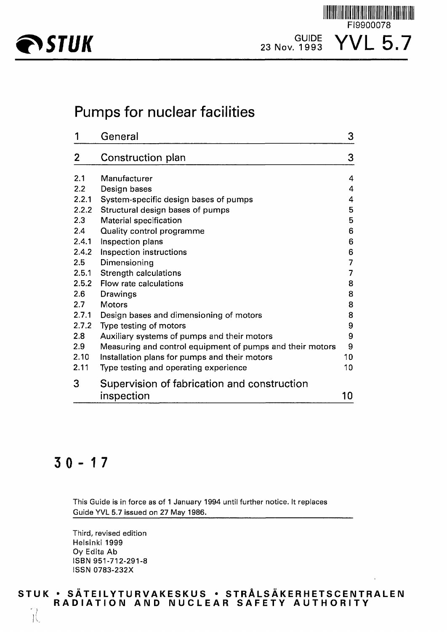

TINI III TIIN TIIN TIIN TIIN

## Pumps for nuclear facilities

|       | General                                                   | 3              |
|-------|-----------------------------------------------------------|----------------|
| 2     | Construction plan                                         | 3              |
| 2.1   | Manufacturer                                              | 4              |
| 2.2   | Design bases                                              | $\overline{4}$ |
| 2.2.1 | System-specific design bases of pumps                     | 4              |
| 2.2.2 | Structural design bases of pumps                          | 5              |
| 2.3   | Material specification                                    | 5              |
| 2.4   | Quality control programme                                 | 6              |
| 2.4.1 | Inspection plans                                          | 6              |
| 2.4.2 | Inspection instructions                                   | 6              |
| 2.5   | Dimensioning                                              | 7              |
| 2.5.1 | Strength calculations                                     | 7              |
| 2.5.2 | Flow rate calculations                                    | 8              |
| 2.6   | <b>Drawings</b>                                           | 8              |
| 2.7   | <b>Motors</b>                                             | 8              |
| 2.7.1 | Design bases and dimensioning of motors                   | 8              |
| 2.7.2 | Type testing of motors                                    | 9              |
| 2.8   | Auxiliary systems of pumps and their motors               | 9              |
| 2.9   | Measuring and control equipment of pumps and their motors | 9              |
| 2.10  | Installation plans for pumps and their motors             | 10             |
| 2.11  | Type testing and operating experience                     | 10             |
| 3     | Supervision of fabrication and construction               |                |
|       | inspection                                                | 10             |

## $30 - 17$

 $\mathcal{H}$ 

This Guide is in force as of 1 January 1994 until further notice. It replaces Guide YVL 5.7 issued on 27 May 1986.

Third, revised edition Helsinki 1999 Oy Edita Ab ISBN 951-712-291-8 ISSN 0783-232X

## **STU K • SATEILYTURVAKESKU S • STRALS AKERH ETSC EIMTR ALE N RADIATIO N AN D NUCLEA R SAFET Y AUTHORIT Y**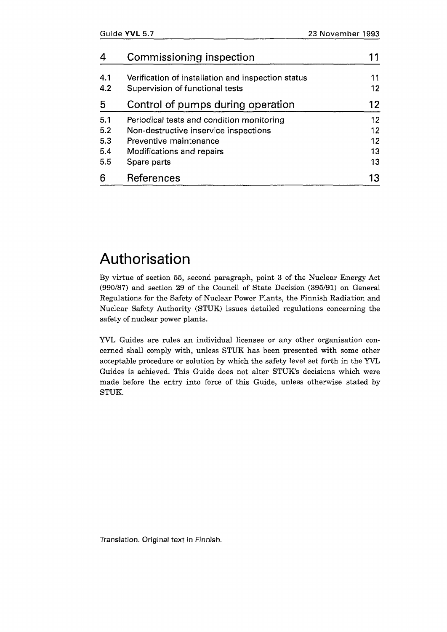|     | Commissioning inspection                           |    |
|-----|----------------------------------------------------|----|
| 4.1 | Verification of installation and inspection status |    |
| 4.2 | Supervision of functional tests                    | 12 |
| 5   | Control of pumps during operation                  | 12 |
| 5.1 | Periodical tests and condition monitoring          | 12 |
| 5.2 | Non-destructive inservice inspections              | 12 |
| 5.3 | Preventive maintenance                             | 12 |
| 5.4 | Modifications and repairs                          | 13 |
| 5.5 | Spare parts                                        | 13 |
| հ   | References                                         | 13 |

## Authorisation

By virtue of section 55, second paragraph, point 3 of the Nuclear Energy Act (990/87) and section 29 of the Council of State Decision (395/91) on General Regulations for the Safety of Nuclear Power Plants, the Finnish Radiation and Nuclear Safety Authority (STUK) issues detailed regulations concerning the safety of nuclear power plants.

YVL Guides are rules an individual licensee or any other organisation concerned shall comply with, unless STUK has been presented with some other acceptable procedure or solution by which the safety level set forth in the YVL Guides is achieved. This Guide does not alter STUK's decisions which were made before the entry into force of this Guide, unless otherwise stated by STUK.

Translation. Original text in Finnish.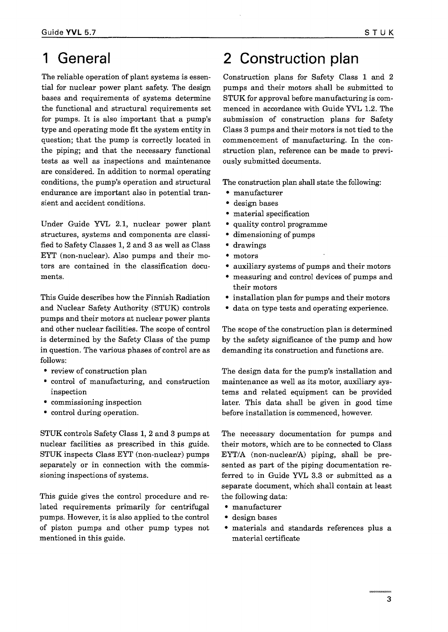## 1 General

The reliable operation of plant systems is essential for nuclear power plant safety. The design bases and requirements of systems determine the functional and structural requirements set for pumps. It is also important that a pump's type and operating mode fit the system entity in question; that the pump is correctly located in the piping; and that the necessary functional tests as well as inspections and maintenance are considered. In addition to normal operating conditions, the pump's operation and structural endurance are important also in potential transient and accident conditions.

Under Guide YVL 2.1, nuclear power plant structures, systems and components are classified to Safety Classes 1, 2 and 3 as well as Class EYT (non-nuclear). Also pumps and their motors are contained in the classification documents.

This Guide describes how the Finnish Radiation and Nuclear Safety Authority (STUK) controls pumps and their motors at nuclear power plants and other nuclear facilities. The scope of control is determined by the Safety Class of the pump in question. The various phases of control are as follows:

- review of construction plan
- control of manufacturing, and construction inspection
- commissioning inspection
- control during operation.

STUK controls Safety Class 1, 2 and 3 pumps at nuclear facilities as prescribed in this guide. STUK inspects Class EYT (non-nuclear) pumps separately or in connection with the commissioning inspections of systems.

This guide gives the control procedure and related requirements primarily for centrifugal pumps. However, it is also applied to the control of piston pumps and other pump types not mentioned in this guide.

## 2 Construction plan

Construction plans for Safety Class 1 and 2 pumps and their motors shall be submitted to STUK for approval before manufacturing is commenced in accordance with Guide YVL 1.2. The submission of construction plans for Safety Class 3 pumps and their motors is not tied to the commencement of manufacturing. In the construction plan, reference can be made to previously submitted documents.

The construction plan shall state the following:

- manufacturer
- design bases
- material specification
- quality control programme
- dimensioning of pumps
- drawings
- motors
- auxiliary systems of pumps and their motors
- measuring and control devices of pumps and their motors
- installation plan for pumps and their motors
- data on type tests and operating experience.

The scope of the construction plan is determined by the safety significance of the pump and how demanding its construction and functions are.

The design data for the pump's installation and maintenance as well as its motor, auxiliary systems and related equipment can be provided later. This data shall be given in good time before installation is commenced, however.

The necessary documentation for pumps and their motors, which are to be connected to Class EYT/A (non-nuclear/A) piping, shall be presented as part of the piping documentation referred to in Guide YVL 3.3 or submitted as a separate document, which shall contain at least the following data:

- manufacturer
- design bases
- materials and standards references plus a material certificate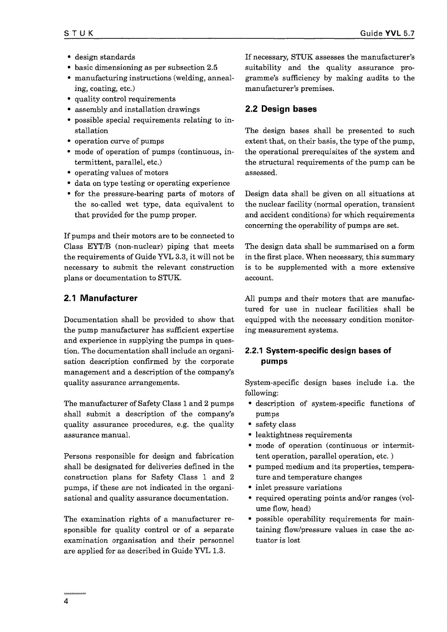- design standards
- basic dimensioning as per subsection 2.5
- manufacturing instructions (welding, annealing, coating, etc.)
- quality control requirements
- assembly and installation drawings
- possible special requirements relating to installation
- operation curve of pumps
- mode of operation of pumps (continuous, intermittent, parallel, etc.)
- operating values of motors
- data on type testing or operating experience
- for the pressure-bearing parts of motors of the so-called wet type, data equivalent to that provided for the pump proper.

If pumps and their motors are to be connected to Class EYT/B (non-nuclear) piping that meets the requirements of Guide YVL 3.3, it will not be necessary to submit the relevant construction plans or documentation to STUK.

## 2.1 Manufacturer

Documentation shall be provided to show that the pump manufacturer has sufficient expertise and experience in supplying the pumps in question. The documentation shall include an organisation description confirmed by the corporate management and a description of the company's quality assurance arrangements.

The manufacturer of Safety Class 1 and 2 pumps shall submit a description of the company's quality assurance procedures, e.g. the quality assurance manual.

Persons responsible for design and fabrication shall be designated for deliveries defined in the construction plans for Safety Class 1 and 2 pumps, if these are not indicated in the organisational and quality assurance documentation.

The examination rights of a manufacturer responsible for quality control or of a separate examination organisation and their personnel are applied for as described in Guide YVL 1.3.

If necessary, STUK assesses the manufacturer's suitability and the quality assurance programme's sufficiency by making audits to the manufacturer's premises.

## 2.2 Design bases

The design bases shall be presented to such extent that, on their basis, the type of the pump, the operational prerequisites of the system and the structural requirements of the pump can be assessed.

Design data shall be given on all situations at the nuclear facility (normal operation, transient and accident conditions) for which requirements concerning the operability of pumps are set.

The design data shall be summarised on a form in the first place. When necessary, this summary is to be supplemented with a more extensive account.

All pumps and their motors that are manufactured for use in nuclear facilities shall be equipped with the necessary condition monitoring measurement systems.

## 2.2.1 System-specific design bases of pumps

System-specific design bases include i.a. the following:

- description of system-specific functions of pumps
- safety class
- leaktightness requirements
- mode of operation (continuous or intermittent operation, parallel operation, etc.)
- pumped medium and its properties, temperature and temperature changes
- inlet pressure variations
- required operating points and/or ranges (volume flow, head)
- possible operability requirements for maintaining flow/pressure values in case the actuator is lost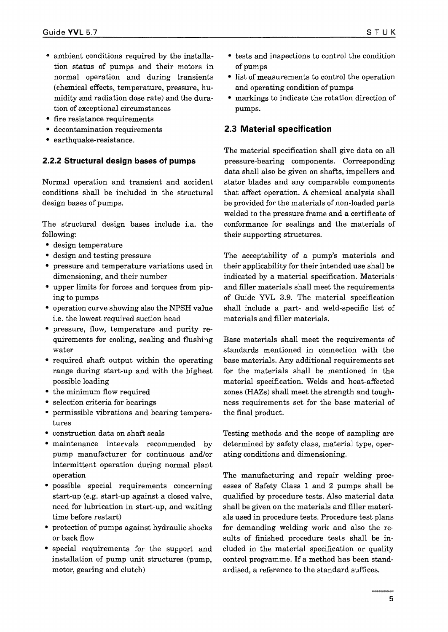- ambient conditions required by the installation status of pumps and their motors in normal operation and during transients (chemical effects, temperature, pressure, humidity and radiation dose rate) and the duration of exceptional circumstances
- fire resistance requirements
- decontamination requirements
- earthquake-resistance.

### **2.2.2 Structural** design bases **of pumps**

Normal operation and transient and accident conditions shall be included in the structural design bases of pumps.

The structural design bases include i.a. the following:

- design temperature
- design and testing pressure
- pressure and temperature variations used in dimensioning, and their number
- upper limits for forces and torques from piping to pumps
- operation curve showing also the NPSH value i.e. the lowest required suction head
- pressure, flow, temperature and purity requirements for cooling, sealing and flushing water
- required shaft output within the operating range during start-up and with the highest possible loading
- the minimum flow required
- selection criteria for bearings
- permissible vibrations and bearing temperatures
- construction data on shaft seals
- maintenance intervals recommended by pump manufacturer for continuous and/or intermittent operation during normal plant operation
- possible special requirements concerning start-up (e.g. start-up against a closed valve, need for lubrication in start-up, and waiting time before restart)
- protection of pumps against hydraulic shocks or back flow
- special requirements for the support and installation of pump unit structures (pump, motor, gearing and clutch)
- tests and inspections to control the condition of pumps
- list of measurements to control the operation and operating condition of pumps
- markings to indicate the rotation direction of pumps.

### 2.3 Material specification

The material specification shall give data on all pressure-bearing components. Corresponding data shall also be given on shafts, impellers and stator blades and any comparable components that affect operation. A chemical analysis shall be provided for the materials of non-loaded parts welded to the pressure frame and a certificate of conformance for sealings and the materials of their supporting structures.

The acceptability of a pump's materials and their applicability for their intended use shall be indicated by a material specification. Materials and filler materials shall meet the requirements of Guide YVL 3.9. The material specification shall include a part- and weld-specific list of materials and filler materials.

Base materials shall meet the requirements of standards mentioned in connection with the base materials. Any additional requirements set for the materials shall be mentioned in the material specification. Welds and heat-affected zones (HAZs) shall meet the strength and toughness requirements set for the base material of the final product.

Testing methods and the scope of sampling are determined by safety class, material type, operating conditions and dimensioning.

The manufacturing and repair welding processes of Safety Class 1 and 2 pumps shall be qualified by procedure tests. Also material data shall be given on the materials and filler materials used in procedure tests. Procedure test plans for demanding welding work and also the results of finished procedure tests shall be included in the material specification or quality control programme. If a method has been standardised, a reference to the standard suffices.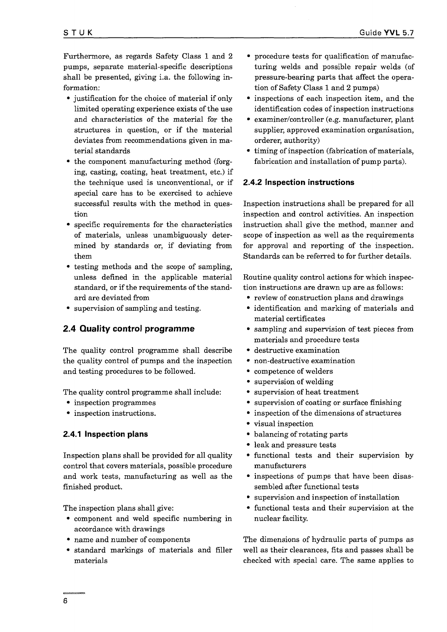Furthermore, as regards Safety Class 1 and 2 pumps, separate material-specific descriptions shall be presented, giving i.a. the following information:

- justification for the choice of material if only limited operating experience exists of the use and characteristics of the material for the structures in question, or if the material deviates from recommendations given in material standards
- the component manufacturing method (forging, casting, coating, heat treatment, etc.) if the technique used is unconventional, or if special care has to be exercised to achieve successful results with the method in question
- specific requirements for the characteristics of materials, unless unambiguously determined by standards or, if deviating from them
- testing methods and the scope of sampling, unless defined in the applicable material standard, or if the requirements of the standard are deviated from
- supervision of sampling and testing.

## 2.4 Quality control programme

The quality control programme shall describe the quality control of pumps and the inspection and testing procedures to be followed.

The quality control programme shall include:

- inspection programmes
- inspection instructions.

### 2.4.1 Inspection plans

Inspection plans shall be provided for all quality control that covers materials, possible procedure and work tests, manufacturing as well as the finished product.

The inspection plans shall give:

- component and weld specific numbering in accordance with drawings
- name and number of components
- standard markings of materials and filler materials
- procedure tests for qualification of manufacturing welds and possible repair welds (of pressure-bearing parts that affect the operation of Safety Class 1 and 2 pumps)
- inspections of each inspection item, and the identification codes of inspection instructions
- examiner/controller (e.g. manufacturer, plant supplier, approved examination organisation, orderer, authority)
- timing of inspection (fabrication of materials, fabrication and installation of pump parts).

#### 2.4.2 Inspection instructions

Inspection instructions shall be prepared for all inspection and control activities. An inspection instruction shall give the method, manner and scope of inspection as well as the requirements for approval and reporting of the inspection. Standards can be referred to for further details.

Routine quality control actions for which inspection instructions are drawn up are as follows:

- review of construction plans and drawings
- identification and marking of materials and material certificates
- sampling and supervision of test pieces from materials and procedure tests
- destructive examination
- non-destructive examination
- competence of welders
- supervision of welding
- supervision of heat treatment
- supervision of coating or surface finishing
- inspection of the dimensions of structures
- visual inspection
- balancing of rotating parts
- leak and pressure tests
- functional tests and their supervision by manufacturers
- inspections of pumps that have been disassembled after functional tests
- supervision and inspection of installation
- functional tests and their supervision at the nuclear facility.

The dimensions of hydraulic parts of pumps as well as their clearances, fits and passes shall be checked with special care. The same applies to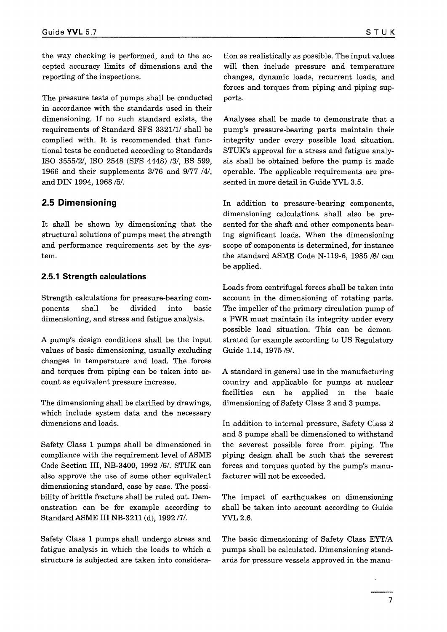the way checking is performed, and to the accepted accuracy limits of dimensions and the reporting of the inspections.

The pressure tests of pumps shall be conducted in accordance with the standards used in their dimensioning. If no such standard exists, the requirements of Standard SFS 3321/1/ shall be complied with. It is recommended that functional tests be conducted according to Standards ISO 3555/2/, ISO 2548 (SFS 4448) /3/, BS 599, 1966 and their supplements 3/76 and 9/77 /4/, and DIN 1994, 1968 /5/.

## 2.5 Dimensioning

It shall be shown by dimensioning that the structural solutions of pumps meet the strength and performance requirements set by the system.

### **2.5.1 Strength calculations**

Strength calculations for pressure-bearing components shall be divided into basic dimensioning, and stress and fatigue analysis.

A pump's design conditions shall be the input values of basic dimensioning, usually excluding changes in temperature and load. The forces and torques from piping can be taken into account as equivalent pressure increase.

The dimensioning shall be clarified by drawings, which include system data and the necessary dimensions and loads.

Safety Class 1 pumps shall be dimensioned in compliance with the requirement level of ASME Code Section III, NB-3400, 1992 /6/. STUK can also approve the use of some other equivalent dimensioning standard, case by case. The possibility of brittle fracture shall be ruled out. Demonstration can be for example according to Standard ASME III NB-3211 (d), 1992 *111.*

Safety Class 1 pumps shall undergo stress and fatigue analysis in which the loads to which a structure is subjected are taken into consideration as realistically as possible. The input values will then include pressure and temperature changes, dynamic loads, recurrent loads, and forces and torques from piping and piping supports.

Analyses shall be made to demonstrate that a pump's pressure-bearing parts maintain their integrity under every possible load situation. STUK's approval for a stress and fatigue analysis shall be obtained before the pump is made operable. The applicable requirements are presented in more detail in Guide YVL 3.5.

In addition to pressure-bearing components, dimensioning calculations shall also be presented for the shaft and other components bearing significant loads. When the dimensioning scope of components is determined, for instance the standard ASME Code N-119-6, 1985 /8/ can be applied.

Loads from centrifugal forces shall be taken into account in the dimensioning of rotating parts. The impeller of the primary circulation pump of a PWR must maintain its integrity under every possible load situation. This can be demonstrated for example according to US Regulatory Guide 1.14, 1975/9/.

A standard in general use in the manufacturing country and applicable for pumps at nuclear facilities can be applied in the basic dimensioning of Safety Class 2 and 3 pumps.

In addition to internal pressure, Safety Class 2 and 3 pumps shall be dimensioned to withstand the severest possible force from piping. The piping design shall be such that the severest forces and torques quoted by the pump's manufacturer will not be exceeded.

The impact of earthquakes on dimensioning shall be taken into account according to Guide YVL 2.6.

The basic dimensioning of Safety Class EYT/A pumps shall be calculated. Dimensioning standards for pressure vessels approved in the manu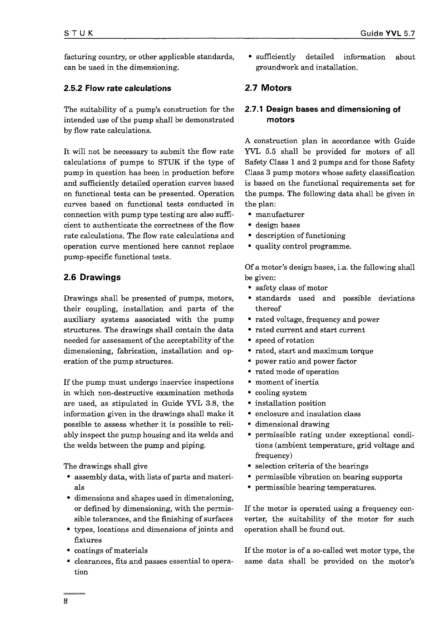facturing country, or other applicable standards, can be used in the dimensioning.

### 2.5.2 Flow rate calculations

The suitability of a pump's construction for the intended use of the pump shall be demonstrated by flow rate calculations.

It will not be necessary to submit the flow rate calculations of pumps to STUK if the type of pump in question has been in production before and sufficiently detailed operation curves based on functional tests can be presented. Operation curves based on functional tests conducted in connection with pump type testing are also sufficient to authenticate the correctness of the flow rate calculations. The flow rate calculations and operation curve mentioned here cannot replace pump-specific functional tests.

### 2.6 Drawings

Drawings shall be presented of pumps, motors, their coupling, installation and parts of the auxiliary systems associated with the pump structures. The drawings shall contain the data needed for assessment of the acceptability of the dimensioning, fabrication, installation and operation of the pump structures.

If the pump must undergo inservice inspections in which non-destructive examination methods are used, as stipulated in Guide YVL 3.8, the information given in the drawings shall make it possible to assess whether it is possible to reliably inspect the pump housing and its welds and the welds between the pump and piping.

The drawings shall give

- assembly data, with lists of parts and materials
- dimensions and shapes used in dimensioning, or defined by dimensioning, with the permissible tolerances, and the finishing of surfaces
- types, locations and dimensions of joints and fixtures
- coatings of materials
- clearances, fits and passes essential to operation

• sufficiently detailed information groundwork and installation. about

## 2.7 Motors

### 2.7.1 Design bases and dimensioning of motors

A construction plan in accordance with Guide YVL 5.5 shall be provided for motors of all Safety Class 1 and 2 pumps and for those Safety Class 3 pump motors whose safety classification is based on the functional requirements set for the pumps. The following data shall be given in the plan:

- manufacturer
- design bases
- description of functioning
- quality control programme.

Of a motor's design bases, i.a. the following shall be given:

- safety class of motor
- standards used and possible deviations thereof
- rated voltage, frequency and power
- rated current and start current
- speed of rotation
- rated, start and maximum torque
- power ratio and power factor
- rated mode of operation
- moment of inertia
- cooling system
- installation position
- enclosure and insulation class
- dimensional drawing
- permissible rating under exceptional conditions (ambient temperature, grid voltage and frequency)
- selection criteria of the bearings
- permissible vibration on bearing supports
- permissible bearing temperatures.

If the motor is operated using a frequency converter, the suitability of the motor for such operation shall be found out.

If the motor is of a so-called wet motor type, the same data shall be provided on the motor's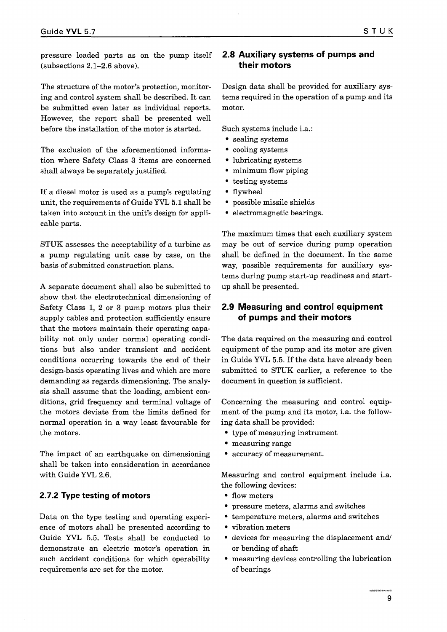pressure loaded parts as on the pump itself (subsections 2.1-2.6 above).

The structure of the motor's protection, monitoring and control system shall be described. It can be submitted even later as individual reports. However, the report shall be presented well before the installation of the motor is started.

The exclusion of the aforementioned information where Safety Class 3 items are concerned shall always be separately justified.

If a diesel motor is used as a pump's regulating unit, the requirements of Guide YVL 5.1 shall be taken into account in the unit's design for applicable parts.

STUK assesses the acceptability of a turbine as a pump regulating unit case by case, on the basis of submitted construction plans.

A separate document shall also be submitted to show that the electrotechnical dimensioning of Safety Class 1, 2 or 3 pump motors plus their supply cables and protection sufficiently ensure that the motors maintain their operating capability not only under normal operating conditions but also under transient and accident conditions occurring towards the end of their design-basis operating lives and which are more demanding as regards dimensioning. The analysis shall assume that the loading, ambient conditions, grid frequency and terminal voltage of the motors deviate from the limits defined for normal operation in a way least favourable for the motors.

The impact of an earthquake on dimensioning shall be taken into consideration in accordance with Guide YVL 2.6.

#### 2.7.2 Type testing of motors

Data on the type testing and operating experience of motors shall be presented according to Guide YVL 5.5. Tests shall be conducted to demonstrate an electric motor's operation in such accident conditions for which operability requirements are set for the motor.

### 2.8 Auxiliary systems of pumps and their motors

Design data shall be provided for auxiliary systems required in the operation of a pump and its motor.

Such systems include i.a.:

- sealing systems
- cooling systems
- lubricating systems
- minimum flow piping
- testing systems
- flywheel
- possible missile shields
- electromagnetic bearings.

The maximum times that each auxiliary system may be out of service during pump operation shall be defined in the document. In the same way, possible requirements for auxiliary systems during pump start-up readiness and startup shall be presented.

#### 2.9 Measuring and control equipment of pumps and their motors

The data required on the measuring and control equipment of the pump and its motor are given in Guide YVL 5.5. If the data have already been submitted to STUK earlier, a reference to the document in question is sufficient.

Concerning the measuring and control equipment of the pump and its motor, i.a. the following data shall be provided:

- type of measuring instrument
- measuring range
- accuracy of measurement.

Measuring and control equipment include i.a. the following devices:

- flow meters
- pressure meters, alarms and switches
- temperature meters, alarms and switches
- vibration meters
- devices for measuring the displacement and/ or bending of shaft
- measuring devices controlling the lubrication of bearings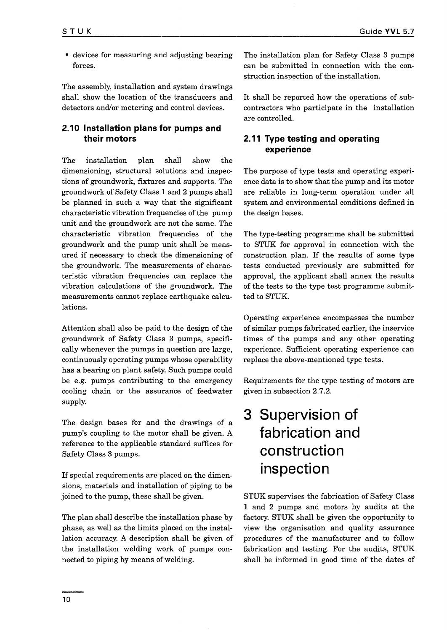• devices for measuring and adjusting bearing forces.

The assembly, installation and system drawings shall show the location of the transducers and detectors and/or metering and control devices.

## 2.10 Installation plans for pumps and their motors

The installation plan shall show the dimensioning, structural solutions and inspections of groundwork, fixtures and supports. The groundwork of Safety Class 1 and 2 pumps shall be planned in such a way that the significant characteristic vibration frequencies of the pump unit and the groundwork are not the same. The characteristic vibration frequencies of the groundwork and the pump unit shall be measured if necessary to check the dimensioning of the groundwork. The measurements of characteristic vibration frequencies can replace the vibration calculations of the groundwork. The measurements cannot replace earthquake calculations.

Attention shall also be paid to the design of the groundwork of Safety Class 3 pumps, specifically whenever the pumps in question are large, continuously operating pumps whose operability has a bearing on plant safety. Such pumps could be e.g. pumps contributing to the emergency cooling chain or the assurance of feedwater supply.

The design bases for and the drawings of a pump's coupling to the motor shall be given. A reference to the applicable standard suffices for Safety Class 3 pumps.

If special requirements are placed on the dimensions, materials and installation of piping to be joined to the pump, these shall be given.

The plan shall describe the installation phase by phase, as well as the limits placed on the installation accuracy. A description shall be given of the installation welding work of pumps connected to piping by means of welding.

The installation plan for Safety Class 3 pumps can be submitted in connection with the construction inspection of the installation.

It shall be reported how the operations of subcontractors who participate in the installation are controlled.

## 2.11 Type testing and operating experience

The purpose of type tests and operating experience data is to show that the pump and its motor are reliable in long-term operation under all system and environmental conditions defined in the design bases.

The type-testing programme shall be submitted to STUK for approval in connection with the construction plan. If the results of some type tests conducted previously are submitted for approval, the applicant shall annex the results of the tests to the type test programme submitted to STUK.

Operating experience encompasses the number of similar pumps fabricated earlier, the inservice times of the pumps and any other operating experience. Sufficient operating experience can replace the above-mentioned type tests.

Requirements for the type testing of motors are given in subsection 2.7.2.

## 3 Supervision of fabrication and construction inspection

STUK supervises the fabrication of Safety Class 1 and 2 pumps and motors by audits at the factory. STUK shall be given the opportunity to view the organisation and quality assurance procedures of the manufacturer and to follow fabrication and testing. For the audits, STUK shall be informed in good time of the dates of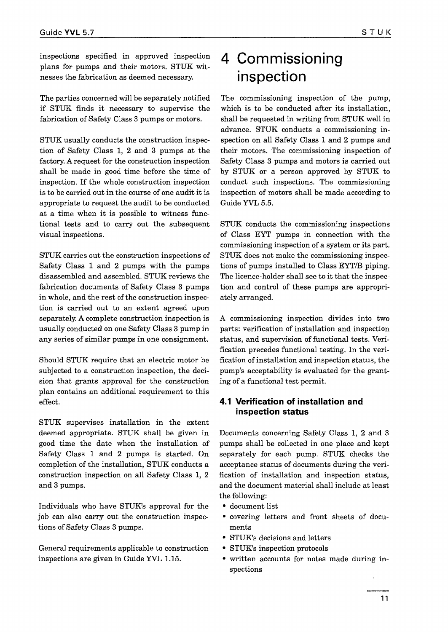The parties concerned will be separately notified if STUK finds it necessary to supervise the fabrication of Safety Class 3 pumps or motors.

STUK usually conducts the construction inspection of Safety Class 1, 2 and 3 pumps at the factory. A request for the construction inspection shall be made in good time before the time of inspection. If the whole construction inspection is to be carried out in the course of one audit it is appropriate to request the audit to be conducted at a time when it is possible to witness functional tests and to carry out the subsequent visual inspections.

STUK carries out the construction inspections of Safety Class 1 and 2 pumps with the pumps disassembled and assembled. STUK reviews the fabrication documents of Safety Class 3 pumps in whole, and the rest of the construction inspection is carried out to an extent agreed upon separately. A complete construction inspection is usually conducted on one Safety Class 3 pump in any series of similar pumps in one consignment.

Should STUK require that an electric motor be subjected to a construction inspection, the decision that grants approval for the construction plan contains an additional requirement to this effect.

STUK supervises installation in the extent deemed appropriate. STUK shall be given in good time the date when the installation of Safety Class 1 and 2 pumps is started. On completion of the installation, STUK conducts a construction inspection on all Safety Class 1, 2 and 3 pumps.

Individuals who have STUK's approval for the job can also carry out the construction inspections of Safety Class 3 pumps.

General requirements applicable to construction inspections are given in Guide YVL 1.15.

## 4 Commissioning inspection

The commissioning inspection of the pump, which is to be conducted after its installation, shall be requested in writing from STUK well in advance. STUK conducts a commissioning inspection on all Safety Class 1 and 2 pumps and their motors. The commissioning inspection of Safety Class 3 pumps and motors is carried out by STUK or a person approved by STUK to conduct such inspections. The commissioning inspection of motors shall be made according to Guide YVL 5.5.

STUK conducts the commissioning inspections of Class EYT pumps in connection with the commissioning inspection of a system or its part. STUK does not make the commissioning inspections of pumps installed to Class EYT/B piping. The licence-holder shall see to it that the inspection and control of these pumps are appropriately arranged.

A commissioning inspection divides into two parts: verification of installation and inspection status, and supervision of functional tests. Verification precedes functional testing. In the verification of installation and inspection status, the pump's acceptability is evaluated for the granting of a functional test permit.

### 4.1 Verification of installation and inspection status

Documents concerning Safety Class 1, 2 and 3 pumps shall be collected in one place and kept separately for each pump. STUK checks the acceptance status of documents during the verification of installation and inspection status, and the document material shall include at least the following:

- document list
- covering letters and front sheets of documents
- STUK's decisions and letters
- STUK's inspection protocols
- written accounts for notes made during inspections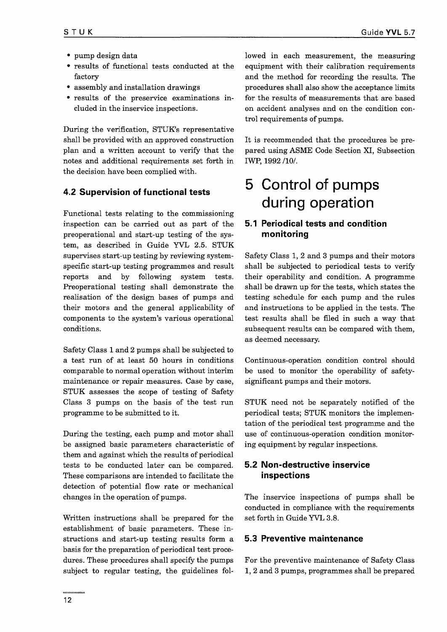- pump design data
- results of functional tests conducted at the factory
- assembly and installation drawings
- results of the preservice examinations included in the inservice inspections.

During the verification, STUK's representative shall be provided with an approved construction plan and a written account to verify that the notes and additional requirements set forth in the decision have been complied with.

## 4.2 Supervision of functional tests

Functional tests relating to the commissioning inspection can be carried out as part of the preoperational and start-up testing of the system, as described in Guide YVL 2.5. STUK supervises start-up testing by reviewing systemspecific start-up testing programmes and result reports and by following system tests. Preoperational testing shall demonstrate the realisation of the design bases of pumps and their motors and the general applicability of components to the system's various operational conditions.

Safety Class 1 and 2 pumps shall be subjected to a test run of at least 50 hours in conditions comparable to normal operation without interim maintenance or repair measures. Case by case, STUK assesses the scope of testing of Safety Class 3 pumps on the basis of the test run programme to be submitted to it.

During the testing, each pump and motor shall be assigned basic parameters characteristic of them and against which the results of periodical tests to be conducted later can be compared. These comparisons are intended to facilitate the detection of potential flow rate or mechanical changes in the operation of pumps.

Written instructions shall be prepared for the establishment of basic parameters. These instructions and start-up testing results form a basis for the preparation of periodical test procedures. These procedures shall specify the pumps subject to regular testing, the guidelines followed in each measurement, the measuring equipment with their calibration requirements and the method for recording the results. The procedures shall also show the acceptance limits for the results of measurements that are based on accident analyses and on the condition control requirements of pumps.

It is recommended that the procedures be prepared using ASME Code Section XI, Subsection IWP, 1992 /10/.

## 5 Control of pumps during operation

## 5.1 Periodical tests and condition monitoring

Safety Class 1, 2 and 3 pumps and their motors shall be subjected to periodical tests to verify their operability and condition. A programme shall be drawn up for the tests, which states the testing schedule for each pump and the rules and instructions to be applied in the tests. The test results shall be filed in such a way that subsequent results can be compared with them, as deemed necessary.

Continuous-operation condition control should be used to monitor the operability of safetysignificant pumps and their motors.

STUK need not be separately notified of the periodical tests; STUK monitors the implementation of the periodical test programme and the use of continuous-operation condition monitoring equipment by regular inspections.

## 5.2 Non-destructive inservice inspections

The inservice inspections of pumps shall be conducted in compliance with the requirements set forth in Guide YVL 3.8.

## 5.3 Preventive maintenance

For the preventive maintenance of Safety Class 1, 2 and 3 pumps, programmes shall be prepared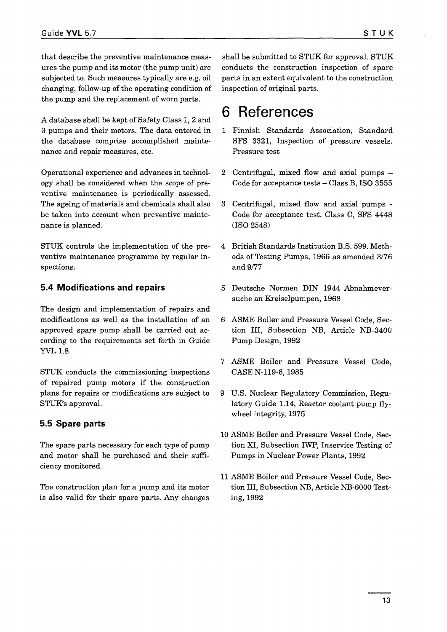that describe the preventive maintenance measures the pump and its motor (the pump unit) are subjected to. Such measures typically are e.g. oil changing, follow-up of the operating condition of the pump and the replacement of worn parts.

A database shall be kept of Safety Class 1, 2 and 3 pumps and their motors. The data entered in the database comprise accomplished maintenance and repair measures, etc.

Operational experience and advances in technology shall be considered when the scope of preventive maintenance is periodically assessed. The ageing of materials and chemicals shall also be taken into account when preventive maintenance is planned.

STUK controls the implementation of the preventive maintenance programme by regular inspections.

### 5.4 Modifications and repairs

The design and implementation of repairs and modifications as well as the installation of an approved spare pump shall be carried out according to the requirements set forth in Guide YVL 1.8.

STUK conducts the commissioning inspections of repaired pump motors if the construction plans for repairs or modifications are subject to STUK's approval.

### 5.5 Spare parts

The spare parts necessary for each type of pump and motor shall be purchased and their sufficiency monitored.

The construction plan for a pump and its motor is also valid for their spare parts. Any changes

shall be submitted to STUK for approval. STUK conducts the construction inspection of spare parts in an extent equivalent to the construction inspection of original parts.

## 6 References

- 1 Finnish Standards Association, Standard SFS 3321, Inspection of pressure vessels. Pressure test
- 2 Centrifugal, mixed flow and axial pumps Code for acceptance tests  $-$  Class B, ISO 3555
- 3 Centrifugal, mixed flow and axial pumps Code for acceptance test. Class C, SFS 4448 (ISO 2548)
- 4 British Standards Institution B.S. 599. Methods of Testing Pumps, 1966 as amended 3/76 and 9/77
- 5 Deutsche Normen DIN 1944 Abnahmeversuche an Kreiselpumpen, 1968
- 6 ASME Boiler and Pressure Vessel Code, Section III, Subsection NB, Article NB-3400 Pump Design, 1992
- 7 ASME Boiler and Pressure Vessel Code, CASE N-119-6, 1985
- 9 U.S. Nuclear Regulatory Commission, Regulatory Guide 1.14, Reactor coolant pump flywheel integrity, 1975
- 10 ASME Boiler and Pressure Vessel Code, Section XI, Subsection IWP, Inservice Testing of Pumps in Nuclear Power Plants, 1992
- 11 ASME Boiler and Pressure Vessel Code, Section III, Subsection NB, Article NB-6000 Testing, 1992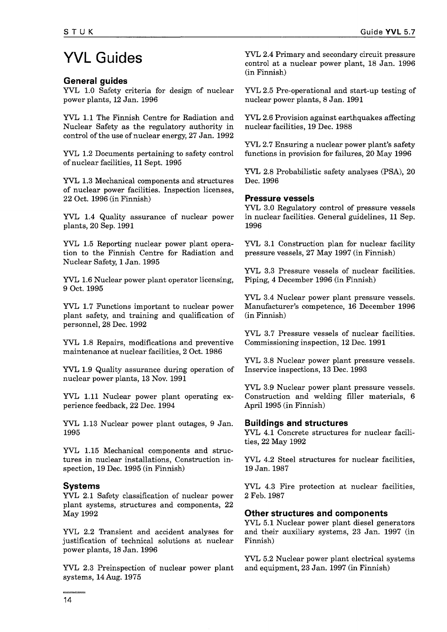# YVL Guides

### General guides

YVL 1.0 Safety criteria for design of nuclear YVL 2.5 Pre-operational and start-up testing of power plants, 12 Jan. 1996

YVL 1.1 The Finnish Centre for Radiation and Nuclear Safety as the regulatory authority in control of the use of nuclear energy, 27 Jan. 1992

YVL 1.2 Documents pertaining to safety control of nuclear facilities, 11 Sept. 1995

YVL 1.3 Mechanical components and structures of nuclear power facilities. Inspection licenses, 22 Oct. 1996 (in Finnish)

YVL 1.4 Quality assurance of nuclear power plants, 20 Sep. 1991

YVL 1.5 Reporting nuclear power plant operation to the Finnish Centre for Radiation and Nuclear Safety, 1 Jan. 1995

YVL 1.6 Nuclear power plant operator licensing, 9 Oct. 1995

YVL 1.7 Functions important to nuclear power plant safety, and training and qualification of personnel, 28 Dec. 1992

YVL 1.8 Repairs, modifications and preventive maintenance at nuclear facilities, 2 Oct. 1986

YVL 1.9 Quality assurance during operation of nuclear power plants, 13 Nov. 1991

YVL 1.11 Nuclear power plant operating experience feedback, 22 Dec. 1994

YVL 1.13 Nuclear power plant outages, 9 Jan. 1995

YVL 1.15 Mechanical components and structures in nuclear installations, Construction inspection, 19 Dec. 1995 (in Finnish)

### Systems

YVL 2.1 Safety classification of nuclear power plant systems, structures and components, 22 May 1992

YVL 2.2 Transient and accident analyses for justification of technical solutions at nuclear power plants, 18 Jan. 1996

YVL 2.3 Preinspection of nuclear power plant systems, 14 Aug. 1975

YVL 2.4 Primary and secondary circuit pressure control at a nuclear power plant, 18 Jan. 1996 (in Finnish)

nuclear power plants, 8 Jan. 1991

YVL 2.6 Provision against earthquakes affecting nuclear facilities, 19 Dec. 1988

YVL 2.7 Ensuring a nuclear power plant's safety functions in provision for failures, 20 May 1996

YVL 2.8 Probabilistic safety analyses (PSA), 20 Dec. 1996

### Pressure vessels

YVL 3.0 Regulatory control of pressure vessels in nuclear facilities. General guidelines, 11 Sep. 1996

YVL 3.1 Construction plan for nuclear facility pressure vessels, 27 May 1997 (in Finnish)

YVL 3.3 Pressure vessels of nuclear facilities. Piping, 4 December 1996 (in Finnish)

YVL 3.4 Nuclear power plant pressure vessels. Manufacturer's competence, 16 December 1996 (in Finnish)

YVL 3.7 Pressure vessels of nuclear facilities. Commissioning inspection, 12 Dec. 1991

YVL 3.8 Nuclear power plant pressure vessels. Inservice inspections, 13 Dec. 1993

YVL 3.9 Nuclear power plant pressure vessels. Construction and welding filler materials, 6 April 1995 (in Finnish)

### Buildings and structures

YVL 4.1 Concrete structures for nuclear facilities, 22 May 1992

YVL 4.2 Steel structures for nuclear facilities, 19 Jan. 1987

YVL 4.3 Fire protection at nuclear facilities, 2 Feb. 1987

### Other structures and components

YVL 5.1 Nuclear power plant diesel generators and their auxiliary systems, 23 Jan. 1997 (in Finnish)

YVL 5.2 Nuclear power plant electrical systems and equipment, 23 Jan. 1997 (in Finnish)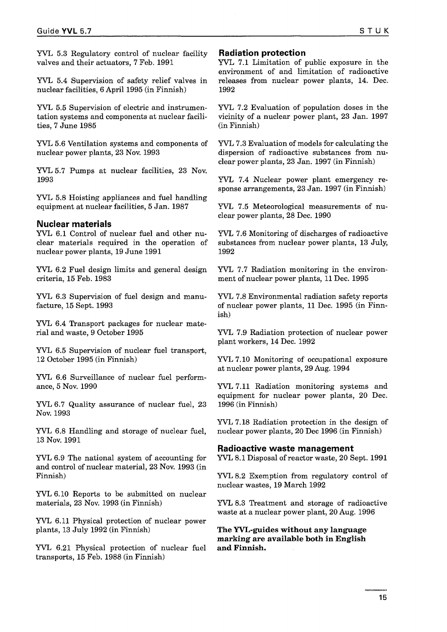YVL 5.3 Regulatory control of nuclear facility valves and their actuators, 7 Feb. 1991

YVL 5.4 Supervision of safety relief valves in nuclear facilities, 6 April 1995 (in Finnish)

YVL 5.5 Supervision of electric and instrumentation systems and components at nuclear facilities, 7 June 1985

YVL 5.6 Ventilation systems and components of nuclear power plants, 23 Nov. 1993

YVL 5.7 Pumps at nuclear facilities, 23 Nov. 1993

YVL 5,8 Hoisting appliances and fuel handling equipment at nuclear facilities, 5 Jan. 1987

#### Nuclear materials

YVL 6.1 Control of nuclear fuel and other nuclear materials required in the operation of nuclear power plants, 19 June 1991

YVL 6.2 Fuel design limits and general design criteria, 15 Feb. 1983

YVL 6.3 Supervision of fuel design and manufacture, 15 Sept. 1993

YVL 6.4 Transport packages for nuclear material and waste, 9 October 1995

YVL 6.5 Supervision of nuclear fuel transport, 12 October 1995 (in Finnish)

YVL 6.6 Surveillance of nuclear fuel performance, 5 Nov. 1990

YVL 6.7 Quality assurance of nuclear fuel, 23 Nov. 1993

YVL 6.8 Handling and storage of nuclear fuel, 13 Nov. 1991

YVL 6.9 The national system of accounting for and control of nuclear material, 23 Nov. 1993 (in Finnish)

YVL 6.10 Reports to be submitted on nuclear materials, 23 Nov. 1993 (in Finnish)

YVL 6.11 Physical protection of nuclear power plants, 13 July 1992 (in Finnish)

YVL 6.21 Physical protection of nuclear fuel transports, 15 Feb. 1988 (in Finnish)

#### Radiation protection

YVL 7.1 Limitation of public exposure in the environment of and limitation of radioactive releases from nuclear power plants, 14. Dec. 1992

YVL 7.2 Evaluation of population doses in the vicinity of a nuclear power plant, 23 Jan. 1997 (in Finnish)

YVL 7.3 Evaluation of models for calculating the dispersion of radioactive substances from nuclear power plants, 23 Jan. 1997 (in Finnish)

YVL 7.4 Nuclear power plant emergency response arrangements, 23 Jan. 1997 (in Finnish)

YVL 7.5 Meteorological measurements of nuclear power plants, 28 Dec. 1990

YVL 7.6 Monitoring of discharges of radioactive substances from nuclear power plants, 13 July, 1992

YVL 7.7 Radiation monitoring in the environment of nuclear power plants, 11 Dec. 1995

YVL 7.8 Environmental radiation safety reports of nuclear power plants, 11 Dec. 1995 (in Finnish)

YVL 7.9 Radiation protection of nuclear power plant workers, 14 Dec. 1992

YVL 7.10 Monitoring of occupational exposure at nuclear power plants, 29 Aug. 1994

YVL 7.11 Radiation monitoring systems and equipment for nuclear power plants, 20 Dec. 1996 (in Finnish)

YVL 7.18 Radiation protection in the design of nuclear power plants, 20 Dec 1996 (in Finnish)

#### Radioactive waste management

YVL 8.1 Disposal of reactor waste, 20 Sept. 1991

YVL 8.2 Exemption from regulatory control of nuclear wastes, 19 March 1992

YVL 8.3 Treatment and storage of radioactive waste at a nuclear power plant, 20 Aug. 1996

**The YVL-guides without any language marking are available both in English and Finnish.**